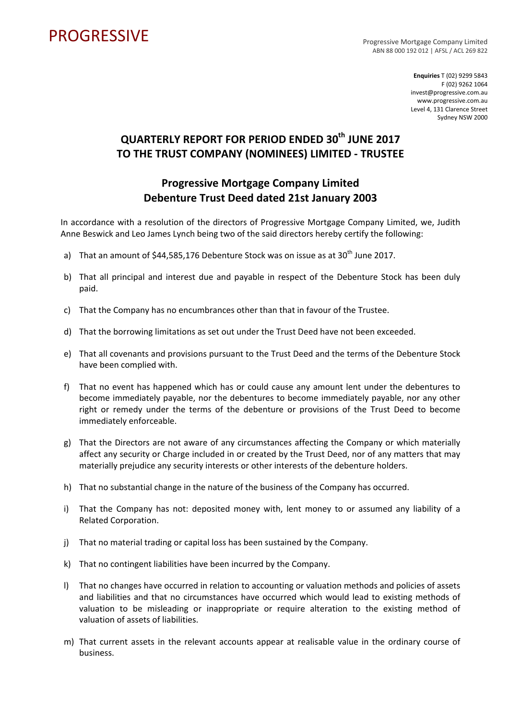## PROGRESSIVE PROGRESSIVE

ABN 88 000 192 012 | AFSL / ACL 269 822

**Enquiries** T (02) 9299 5843 F (02) 9262 1064 invest@progressive.com.au www.progressive.com.au Level 4, 131 Clarence Street Sydney NSW 2000

## **QUARTERLY REPORT FOR PERIOD ENDED 30th JUNE 2017 TO THE TRUST COMPANY (NOMINEES) LIMITED ‐ TRUSTEE**

## **Progressive Mortgage Company Limited Debenture Trust Deed dated 21st January 2003**

In accordance with a resolution of the directors of Progressive Mortgage Company Limited, we, Judith Anne Beswick and Leo James Lynch being two of the said directors hereby certify the following:

- a) That an amount of  $$44,585,176$  Debenture Stock was on issue as at  $30<sup>th</sup>$  June 2017.
- b) That all principal and interest due and payable in respect of the Debenture Stock has been duly paid.
- c) That the Company has no encumbrances other than that in favour of the Trustee.
- d) That the borrowing limitations as set out under the Trust Deed have not been exceeded.
- e) That all covenants and provisions pursuant to the Trust Deed and the terms of the Debenture Stock have been complied with.
- f) That no event has happened which has or could cause any amount lent under the debentures to become immediately payable, nor the debentures to become immediately payable, nor any other right or remedy under the terms of the debenture or provisions of the Trust Deed to become immediately enforceable.
- g) That the Directors are not aware of any circumstances affecting the Company or which materially affect any security or Charge included in or created by the Trust Deed, nor of any matters that may materially prejudice any security interests or other interests of the debenture holders.
- h) That no substantial change in the nature of the business of the Company has occurred.
- i) That the Company has not: deposited money with, lent money to or assumed any liability of a Related Corporation.
- j) That no material trading or capital loss has been sustained by the Company.
- k) That no contingent liabilities have been incurred by the Company.
- l) That no changes have occurred in relation to accounting or valuation methods and policies of assets and liabilities and that no circumstances have occurred which would lead to existing methods of valuation to be misleading or inappropriate or require alteration to the existing method of valuation of assets of liabilities.
- m) That current assets in the relevant accounts appear at realisable value in the ordinary course of business.